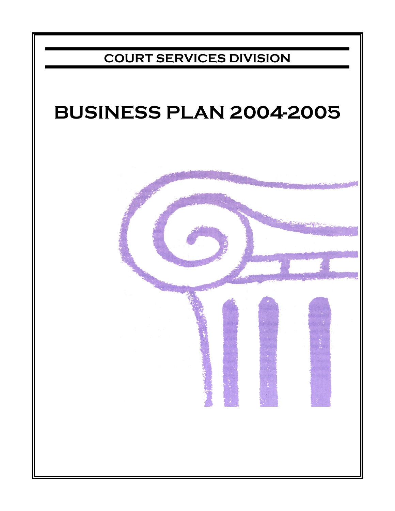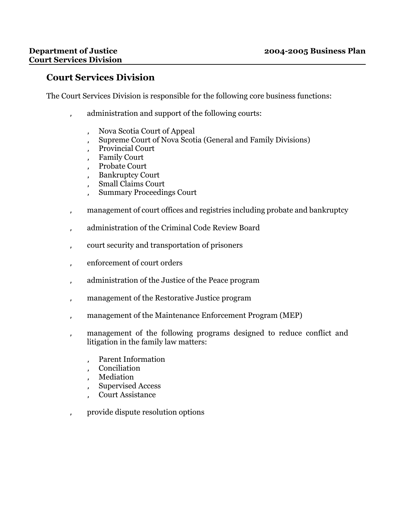## **Court Services Division**

The Court Services Division is responsible for the following core business functions:

- ' administration and support of the following courts:
	- ' Nova Scotia Court of Appeal
	- ' Supreme Court of Nova Scotia (General and Family Divisions)
	- ' Provincial Court
	- ' Family Court
	- Probate Court
	- Bankruptcy Court
	- ' Small Claims Court
	- ' Summary Proceedings Court
- ' management of court offices and registries including probate and bankruptcy
- ' administration of the Criminal Code Review Board
- ' court security and transportation of prisoners
- ' enforcement of court orders
- ' administration of the Justice of the Peace program
- management of the Restorative Justice program
- ' management of the Maintenance Enforcement Program (MEP)
- management of the following programs designed to reduce conflict and litigation in the family law matters:
	- Parent Information
	- ' Conciliation
	- ' Mediation
	- ' Supervised Access
	- ' Court Assistance
- ' provide dispute resolution options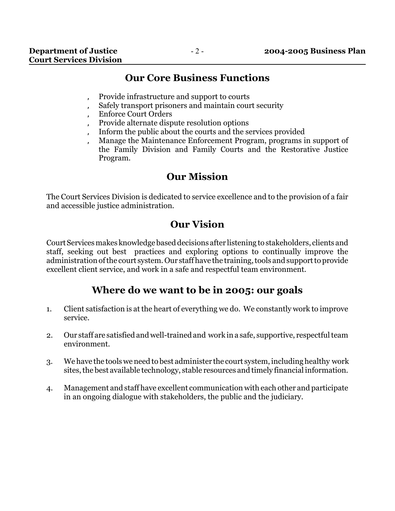# **Our Core Business Functions**

- ' Provide infrastructure and support to courts
- Safely transport prisoners and maintain court security
- ' Enforce Court Orders
- ' Provide alternate dispute resolution options
- ' Inform the public about the courts and the services provided
- ' Manage the Maintenance Enforcement Program, programs in support of the Family Division and Family Courts and the Restorative Justice Program.

# **Our Mission**

The Court Services Division is dedicated to service excellence and to the provision of a fair and accessible justice administration.

# **Our Vision**

Court Services makes knowledge based decisions after listening to stakeholders, clients and staff, seeking out best practices and exploring options to continually improve the administration of the court system. Our staff have the training, tools and support to provide excellent client service, and work in a safe and respectful team environment.

# **Where do we want to be in 2005: our goals**

- 1. Client satisfaction is at the heart of everything we do. We constantly work to improve service.
- 2. Our staff are satisfied and well-trained and work in a safe, supportive, respectful team environment.
- 3. We have the tools we need to best administer the court system, including healthy work sites, the best available technology, stable resources and timely financial information.
- 4. Management and staff have excellent communication with each other and participate in an ongoing dialogue with stakeholders, the public and the judiciary.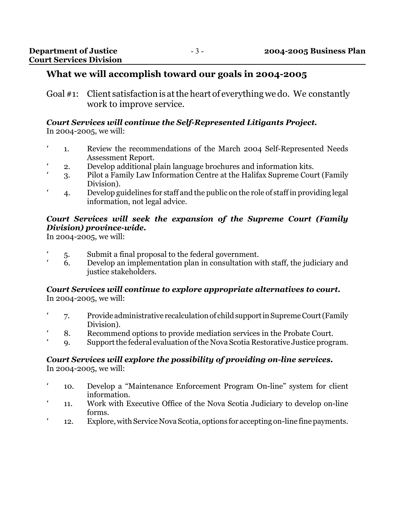## **What we will accomplish toward our goals in 2004-2005**

Goal #1: Client satisfaction is at the heart of everything we do. We constantly work to improve service.

# *Court Services will continue the Self-Represented Litigants Project.*

- In 2004-2005, we will:
	- 1. Review the recommendations of the March 2004 Self-Represented Needs Assessment Report.
	- ' 2. Develop additional plain language brochures and information kits.
- ' 3. Pilot a Family Law Information Centre at the Halifax Supreme Court (Family Division).
	- ' 4. Develop guidelines for staff and the public on the role of staff in providing legal information, not legal advice.

### *Court Services will seek the expansion of the Supreme Court (Family Division) province-wide.*

In 2004-2005, we will:

- ' 5. Submit a final proposal to the federal government.
- ' 6. Develop an implementation plan in consultation with staff, the judiciary and justice stakeholders.

#### *Court Services will continue to explore appropriate alternatives to court.* In 2004-2005, we will:

- ' 7. Provide administrative recalculation of child support in Supreme Court (Family Division).
- 8. Recommend options to provide mediation services in the Probate Court.
- ' 9. Support the federal evaluation of the Nova Scotia Restorative Justice program.

## *Court Services will explore the possibility of providing on-line services.*

In 2004-2005, we will:

- ' 10. Develop a "Maintenance Enforcement Program On-line" system for client information.
- ' 11. Work with Executive Office of the Nova Scotia Judiciary to develop on-line forms.
- ' 12. Explore, with Service Nova Scotia, options for accepting on-line fine payments.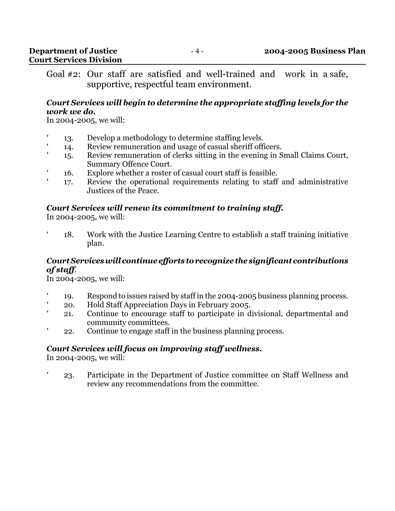Goal #2: Our staff are satisfied and well-trained and work in a safe, supportive, respectful team environment.

#### *Court Services will begin to determine the appropriate staffing levels for the work we do.*

In 2004-2005, we will:

- ' 13. Develop a methodology to determine staffing levels.
- 14. Review remuneration and usage of casual sheriff officers.
- ' 15. Review remuneration of clerks sitting in the evening in Small Claims Court, Summary Offence Court.
- ' 16. Explore whether a roster of casual court staff is feasible.
- 17. Review the operational requirements relating to staff and administrative Justices of the Peace.

#### *Court Services will renew its commitment to training staff.*

In 2004-2005, we will:

' 18. Work with the Justice Learning Centre to establish a staff training initiative plan.

#### *Court Services will continue efforts to recognize the significant contributions of staff*.

In 2004-2005, we will:

- ' 19. Respond to issues raised by staff in the 2004-2005 business planning process.
- ' 20. Hold Staff Appreciation Days in February 2005.
- ' 21. Continue to encourage staff to participate in divisional, departmental and community committees.
- 22. Continue to engage staff in the business planning process.

## *Court Services will focus on improving staff wellness***.**

In 2004-2005, we will:

' 23. Participate in the Department of Justice committee on Staff Wellness and review any recommendations from the committee.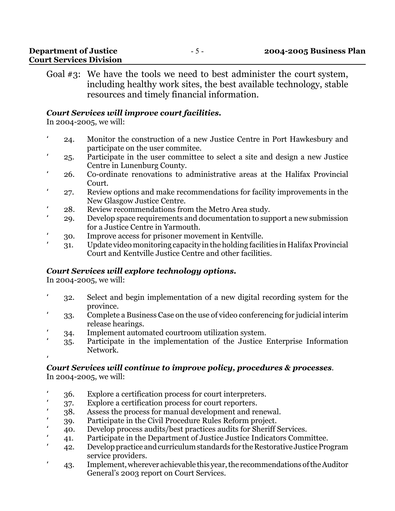| <b>Department of Justice</b>   | $ \rightarrow$ $-$ | 2004-2005 Business Plan |
|--------------------------------|--------------------|-------------------------|
| <b>Court Services Division</b> |                    |                         |

Goal #3: We have the tools we need to best administer the court system, including healthy work sites, the best available technology, stable resources and timely financial information.

#### *Court Services will improve court facilities.*

In 2004-2005, we will:

- ' 24. Monitor the construction of a new Justice Centre in Port Hawkesbury and participate on the user commitee.
- ' 25. Participate in the user committee to select a site and design a new Justice Centre in Lunenburg County.
- ' 26. Co-ordinate renovations to administrative areas at the Halifax Provincial Court.
- ' 27. Review options and make recommendations for facility improvements in the New Glasgow Justice Centre.
- ' 28. Review recommendations from the Metro Area study.
- ' 29. Develop space requirements and documentation to support a new submission for a Justice Centre in Yarmouth.
- ' 30. Improve access for prisoner movement in Kentville.
- ' 31. Update video monitoring capacity in the holding facilities in Halifax Provincial Court and Kentville Justice Centre and other facilities.

#### *Court Services will explore technology options.*

In 2004-2005, we will:

- ' 32. Select and begin implementation of a new digital recording system for the province.
- ' 33. Complete a Business Case on the use of video conferencing for judicial interim release hearings.
- ' 34. Implement automated courtroom utilization system.
- ' 35. Participate in the implementation of the Justice Enterprise Information Network.

#### $\mathbf{r}_{\perp}$ *Court Services will continue to improve policy, procedures & processes*.

In 2004-2005, we will:

- ' 36. Explore a certification process for court interpreters.
- ' 37. Explore a certification process for court reporters.
- ' 38. Assess the process for manual development and renewal.
- ' 39. Participate in the Civil Procedure Rules Reform project.
- ' 40. Develop process audits/best practices audits for Sheriff Services.
- ' 41. Participate in the Department of Justice Justice Indicators Committee.
- ' 42. Develop practice and curriculum standards for the Restorative Justice Program service providers.
- ' 43. Implement, wherever achievable this year, the recommendations of the Auditor General's 2003 report on Court Services.